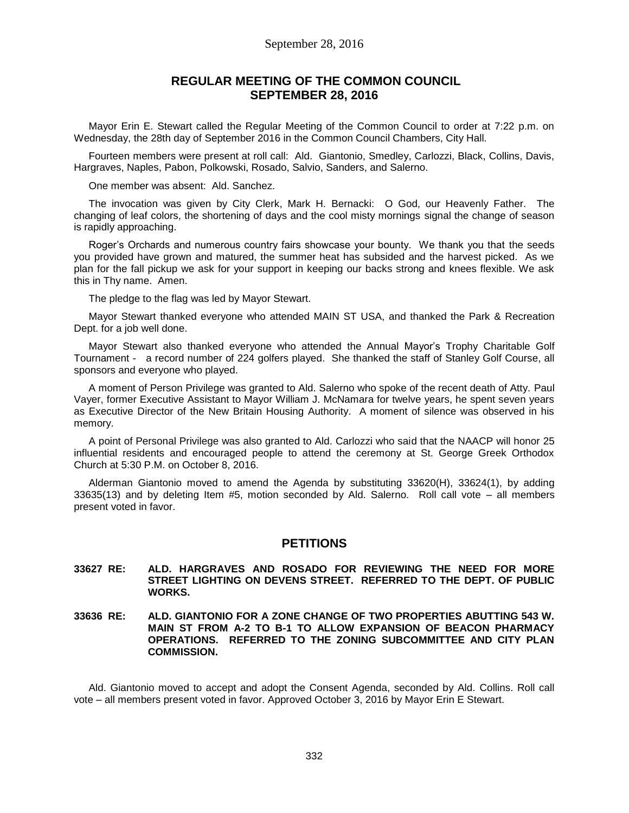### **REGULAR MEETING OF THE COMMON COUNCIL SEPTEMBER 28, 2016**

Mayor Erin E. Stewart called the Regular Meeting of the Common Council to order at 7:22 p.m. on Wednesday, the 28th day of September 2016 in the Common Council Chambers, City Hall.

Fourteen members were present at roll call: Ald. Giantonio, Smedley, Carlozzi, Black, Collins, Davis, Hargraves, Naples, Pabon, Polkowski, Rosado, Salvio, Sanders, and Salerno.

One member was absent: Ald. Sanchez.

The invocation was given by City Clerk, Mark H. Bernacki: O God, our Heavenly Father. The changing of leaf colors, the shortening of days and the cool misty mornings signal the change of season is rapidly approaching.

Roger's Orchards and numerous country fairs showcase your bounty. We thank you that the seeds you provided have grown and matured, the summer heat has subsided and the harvest picked. As we plan for the fall pickup we ask for your support in keeping our backs strong and knees flexible. We ask this in Thy name. Amen.

The pledge to the flag was led by Mayor Stewart.

Mayor Stewart thanked everyone who attended MAIN ST USA, and thanked the Park & Recreation Dept. for a job well done.

Mayor Stewart also thanked everyone who attended the Annual Mayor's Trophy Charitable Golf Tournament - a record number of 224 golfers played. She thanked the staff of Stanley Golf Course, all sponsors and everyone who played.

A moment of Person Privilege was granted to Ald. Salerno who spoke of the recent death of Atty. Paul Vayer, former Executive Assistant to Mayor William J. McNamara for twelve years, he spent seven years as Executive Director of the New Britain Housing Authority. A moment of silence was observed in his memory.

A point of Personal Privilege was also granted to Ald. Carlozzi who said that the NAACP will honor 25 influential residents and encouraged people to attend the ceremony at St. George Greek Orthodox Church at 5:30 P.M. on October 8, 2016.

Alderman Giantonio moved to amend the Agenda by substituting 33620(H), 33624(1), by adding 33635(13) and by deleting Item #5, motion seconded by Ald. Salerno. Roll call vote – all members present voted in favor.

#### **PETITIONS**

#### **33627 RE: ALD. HARGRAVES AND ROSADO FOR REVIEWING THE NEED FOR MORE STREET LIGHTING ON DEVENS STREET. REFERRED TO THE DEPT. OF PUBLIC WORKS.**

#### **33636 RE: ALD. GIANTONIO FOR A ZONE CHANGE OF TWO PROPERTIES ABUTTING 543 W. MAIN ST FROM A-2 TO B-1 TO ALLOW EXPANSION OF BEACON PHARMACY OPERATIONS. REFERRED TO THE ZONING SUBCOMMITTEE AND CITY PLAN COMMISSION.**

Ald. Giantonio moved to accept and adopt the Consent Agenda, seconded by Ald. Collins. Roll call vote – all members present voted in favor. Approved October 3, 2016 by Mayor Erin E Stewart.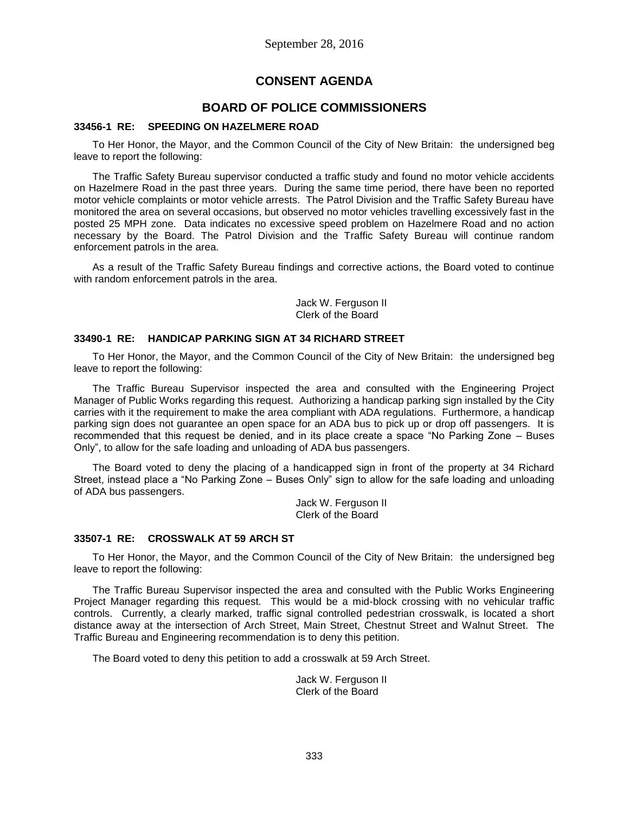# **CONSENT AGENDA**

# **BOARD OF POLICE COMMISSIONERS**

### **33456-1 RE: SPEEDING ON HAZELMERE ROAD**

To Her Honor, the Mayor, and the Common Council of the City of New Britain: the undersigned beg leave to report the following:

The Traffic Safety Bureau supervisor conducted a traffic study and found no motor vehicle accidents on Hazelmere Road in the past three years. During the same time period, there have been no reported motor vehicle complaints or motor vehicle arrests. The Patrol Division and the Traffic Safety Bureau have monitored the area on several occasions, but observed no motor vehicles travelling excessively fast in the posted 25 MPH zone. Data indicates no excessive speed problem on Hazelmere Road and no action necessary by the Board. The Patrol Division and the Traffic Safety Bureau will continue random enforcement patrols in the area.

As a result of the Traffic Safety Bureau findings and corrective actions, the Board voted to continue with random enforcement patrols in the area.

> Jack W. Ferguson II Clerk of the Board

#### **33490-1 RE: HANDICAP PARKING SIGN AT 34 RICHARD STREET**

To Her Honor, the Mayor, and the Common Council of the City of New Britain: the undersigned beg leave to report the following:

The Traffic Bureau Supervisor inspected the area and consulted with the Engineering Project Manager of Public Works regarding this request. Authorizing a handicap parking sign installed by the City carries with it the requirement to make the area compliant with ADA regulations. Furthermore, a handicap parking sign does not guarantee an open space for an ADA bus to pick up or drop off passengers. It is recommended that this request be denied, and in its place create a space "No Parking Zone – Buses Only", to allow for the safe loading and unloading of ADA bus passengers.

The Board voted to deny the placing of a handicapped sign in front of the property at 34 Richard Street, instead place a "No Parking Zone – Buses Only" sign to allow for the safe loading and unloading of ADA bus passengers.

Jack W. Ferguson II Clerk of the Board

#### **33507-1 RE: CROSSWALK AT 59 ARCH ST**

To Her Honor, the Mayor, and the Common Council of the City of New Britain: the undersigned beg leave to report the following:

The Traffic Bureau Supervisor inspected the area and consulted with the Public Works Engineering Project Manager regarding this request. This would be a mid-block crossing with no vehicular traffic controls. Currently, a clearly marked, traffic signal controlled pedestrian crosswalk, is located a short distance away at the intersection of Arch Street, Main Street, Chestnut Street and Walnut Street. The Traffic Bureau and Engineering recommendation is to deny this petition.

The Board voted to deny this petition to add a crosswalk at 59 Arch Street.

Jack W. Ferguson II Clerk of the Board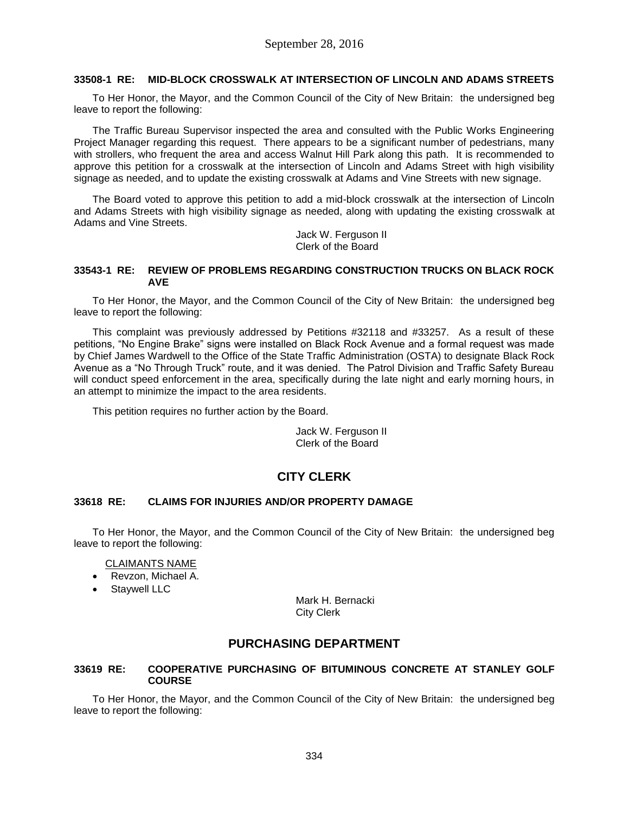#### **33508-1 RE: MID-BLOCK CROSSWALK AT INTERSECTION OF LINCOLN AND ADAMS STREETS**

To Her Honor, the Mayor, and the Common Council of the City of New Britain: the undersigned beg leave to report the following:

The Traffic Bureau Supervisor inspected the area and consulted with the Public Works Engineering Project Manager regarding this request. There appears to be a significant number of pedestrians, many with strollers, who frequent the area and access Walnut Hill Park along this path. It is recommended to approve this petition for a crosswalk at the intersection of Lincoln and Adams Street with high visibility signage as needed, and to update the existing crosswalk at Adams and Vine Streets with new signage.

The Board voted to approve this petition to add a mid-block crosswalk at the intersection of Lincoln and Adams Streets with high visibility signage as needed, along with updating the existing crosswalk at Adams and Vine Streets.

> Jack W. Ferguson II Clerk of the Board

#### **33543-1 RE: REVIEW OF PROBLEMS REGARDING CONSTRUCTION TRUCKS ON BLACK ROCK AVE**

To Her Honor, the Mayor, and the Common Council of the City of New Britain: the undersigned beg leave to report the following:

This complaint was previously addressed by Petitions #32118 and #33257. As a result of these petitions, "No Engine Brake" signs were installed on Black Rock Avenue and a formal request was made by Chief James Wardwell to the Office of the State Traffic Administration (OSTA) to designate Black Rock Avenue as a "No Through Truck" route, and it was denied. The Patrol Division and Traffic Safety Bureau will conduct speed enforcement in the area, specifically during the late night and early morning hours, in an attempt to minimize the impact to the area residents.

This petition requires no further action by the Board.

Jack W. Ferguson II Clerk of the Board

# **CITY CLERK**

#### **33618 RE: CLAIMS FOR INJURIES AND/OR PROPERTY DAMAGE**

To Her Honor, the Mayor, and the Common Council of the City of New Britain: the undersigned beg leave to report the following:

#### CLAIMANTS NAME

- Revzon, Michael A.
- Staywell LLC

Mark H. Bernacki City Clerk

### **PURCHASING DEPARTMENT**

#### **33619 RE: COOPERATIVE PURCHASING OF BITUMINOUS CONCRETE AT STANLEY GOLF COURSE**

To Her Honor, the Mayor, and the Common Council of the City of New Britain: the undersigned beg leave to report the following: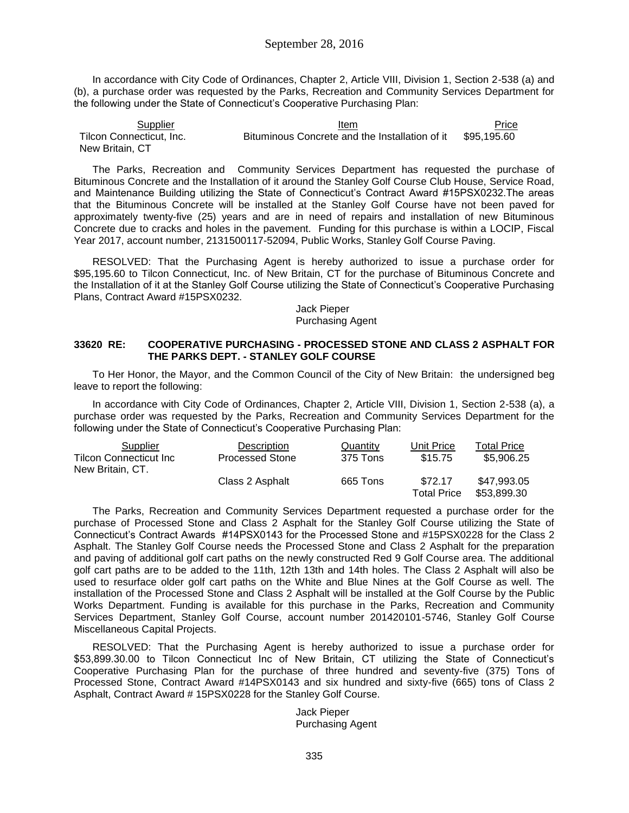In accordance with City Code of Ordinances, Chapter 2, Article VIII, Division 1, Section 2-538 (a) and (b), a purchase order was requested by the Parks, Recreation and Community Services Department for the following under the State of Connecticut's Cooperative Purchasing Plan:

Supplier **Item Item Item Price** Tilcon Connecticut, Inc. New Britain, CT Bituminous Concrete and the Installation of it \$95,195.60

The Parks, Recreation and Community Services Department has requested the purchase of Bituminous Concrete and the Installation of it around the Stanley Golf Course Club House, Service Road, and Maintenance Building utilizing the State of Connecticut's Contract Award #15PSX0232.The areas that the Bituminous Concrete will be installed at the Stanley Golf Course have not been paved for approximately twenty-five (25) years and are in need of repairs and installation of new Bituminous Concrete due to cracks and holes in the pavement. Funding for this purchase is within a LOCIP, Fiscal Year 2017, account number, 2131500117-52094, Public Works, Stanley Golf Course Paving.

RESOLVED: That the Purchasing Agent is hereby authorized to issue a purchase order for \$95,195.60 to Tilcon Connecticut, Inc. of New Britain, CT for the purchase of Bituminous Concrete and the Installation of it at the Stanley Golf Course utilizing the State of Connecticut's Cooperative Purchasing Plans, Contract Award #15PSX0232.

> Jack Pieper Purchasing Agent

#### **33620 RE: COOPERATIVE PURCHASING - PROCESSED STONE AND CLASS 2 ASPHALT FOR THE PARKS DEPT. - STANLEY GOLF COURSE**

To Her Honor, the Mayor, and the Common Council of the City of New Britain: the undersigned beg leave to report the following:

In accordance with City Code of Ordinances, Chapter 2, Article VIII, Division 1, Section 2-538 (a), a purchase order was requested by the Parks, Recreation and Community Services Department for the following under the State of Connecticut's Cooperative Purchasing Plan:

| Supplier                      | Description            | Quantity | Unit Price  | Total Price |
|-------------------------------|------------------------|----------|-------------|-------------|
| <b>Tilcon Connecticut Inc</b> | <b>Processed Stone</b> | 375 Tons | \$15.75     | \$5,906.25  |
| New Britain, CT.              |                        |          |             |             |
|                               | Class 2 Asphalt        | 665 Tons | \$72.17     | \$47.993.05 |
|                               |                        |          | Total Price | \$53.899.30 |

The Parks, Recreation and Community Services Department requested a purchase order for the purchase of Processed Stone and Class 2 Asphalt for the Stanley Golf Course utilizing the State of Connecticut's Contract Awards #14PSX0143 for the Processed Stone and #15PSX0228 for the Class 2 Asphalt. The Stanley Golf Course needs the Processed Stone and Class 2 Asphalt for the preparation and paving of additional golf cart paths on the newly constructed Red 9 Golf Course area. The additional golf cart paths are to be added to the 11th, 12th 13th and 14th holes. The Class 2 Asphalt will also be used to resurface older golf cart paths on the White and Blue Nines at the Golf Course as well. The installation of the Processed Stone and Class 2 Asphalt will be installed at the Golf Course by the Public Works Department. Funding is available for this purchase in the Parks, Recreation and Community Services Department, Stanley Golf Course, account number 201420101-5746, Stanley Golf Course Miscellaneous Capital Projects.

RESOLVED: That the Purchasing Agent is hereby authorized to issue a purchase order for \$53,899.30.00 to Tilcon Connecticut Inc of New Britain, CT utilizing the State of Connecticut's Cooperative Purchasing Plan for the purchase of three hundred and seventy-five (375) Tons of Processed Stone, Contract Award #14PSX0143 and six hundred and sixty-five (665) tons of Class 2 Asphalt, Contract Award # 15PSX0228 for the Stanley Golf Course.

> Jack Pieper Purchasing Agent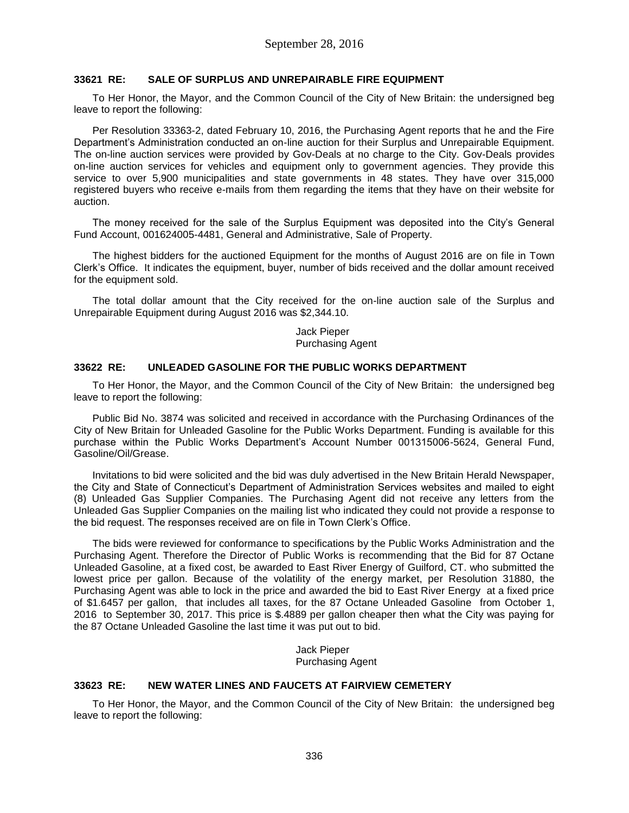#### **33621 RE: SALE OF SURPLUS AND UNREPAIRABLE FIRE EQUIPMENT**

To Her Honor, the Mayor, and the Common Council of the City of New Britain: the undersigned beg leave to report the following:

Per Resolution 33363-2, dated February 10, 2016, the Purchasing Agent reports that he and the Fire Department's Administration conducted an on-line auction for their Surplus and Unrepairable Equipment. The on-line auction services were provided by Gov-Deals at no charge to the City. Gov-Deals provides on-line auction services for vehicles and equipment only to government agencies. They provide this service to over 5,900 municipalities and state governments in 48 states. They have over 315,000 registered buyers who receive e-mails from them regarding the items that they have on their website for auction.

The money received for the sale of the Surplus Equipment was deposited into the City's General Fund Account, 001624005-4481, General and Administrative, Sale of Property.

The highest bidders for the auctioned Equipment for the months of August 2016 are on file in Town Clerk's Office. It indicates the equipment, buyer, number of bids received and the dollar amount received for the equipment sold.

The total dollar amount that the City received for the on-line auction sale of the Surplus and Unrepairable Equipment during August 2016 was \$2,344.10.

> Jack Pieper Purchasing Agent

#### **33622 RE: UNLEADED GASOLINE FOR THE PUBLIC WORKS DEPARTMENT**

To Her Honor, the Mayor, and the Common Council of the City of New Britain: the undersigned beg leave to report the following:

Public Bid No. 3874 was solicited and received in accordance with the Purchasing Ordinances of the City of New Britain for Unleaded Gasoline for the Public Works Department. Funding is available for this purchase within the Public Works Department's Account Number 001315006-5624, General Fund, Gasoline/Oil/Grease.

Invitations to bid were solicited and the bid was duly advertised in the New Britain Herald Newspaper, the City and State of Connecticut's Department of Administration Services websites and mailed to eight (8) Unleaded Gas Supplier Companies. The Purchasing Agent did not receive any letters from the Unleaded Gas Supplier Companies on the mailing list who indicated they could not provide a response to the bid request. The responses received are on file in Town Clerk's Office.

The bids were reviewed for conformance to specifications by the Public Works Administration and the Purchasing Agent. Therefore the Director of Public Works is recommending that the Bid for 87 Octane Unleaded Gasoline, at a fixed cost, be awarded to East River Energy of Guilford, CT. who submitted the lowest price per gallon. Because of the volatility of the energy market, per Resolution 31880, the Purchasing Agent was able to lock in the price and awarded the bid to East River Energy at a fixed price of \$1.6457 per gallon, that includes all taxes, for the 87 Octane Unleaded Gasoline from October 1, 2016 to September 30, 2017. This price is \$.4889 per gallon cheaper then what the City was paying for the 87 Octane Unleaded Gasoline the last time it was put out to bid.

> Jack Pieper Purchasing Agent

#### **33623 RE: NEW WATER LINES AND FAUCETS AT FAIRVIEW CEMETERY**

To Her Honor, the Mayor, and the Common Council of the City of New Britain: the undersigned beg leave to report the following: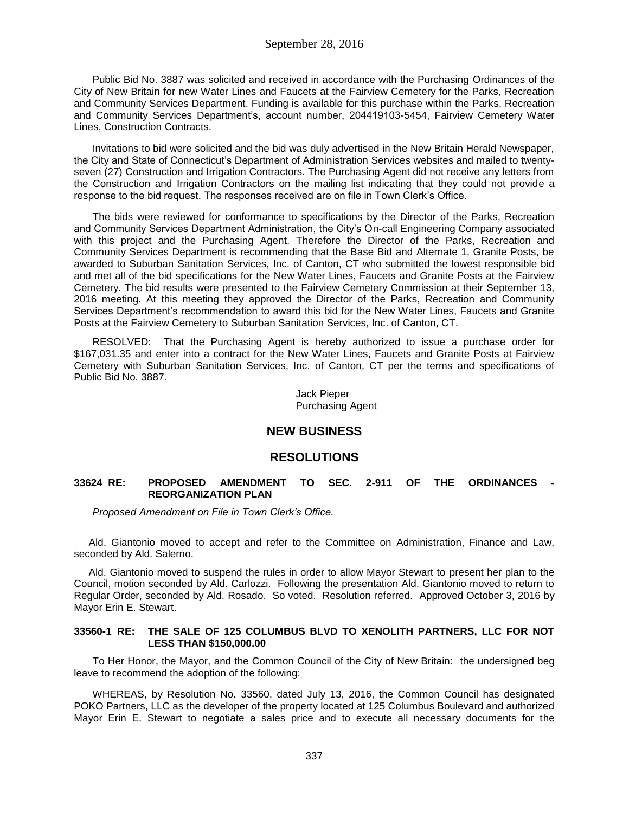Public Bid No. 3887 was solicited and received in accordance with the Purchasing Ordinances of the City of New Britain for new Water Lines and Faucets at the Fairview Cemetery for the Parks, Recreation and Community Services Department. Funding is available for this purchase within the Parks, Recreation and Community Services Department's, account number, 204419103-5454, Fairview Cemetery Water Lines, Construction Contracts.

Invitations to bid were solicited and the bid was duly advertised in the New Britain Herald Newspaper, the City and State of Connecticut's Department of Administration Services websites and mailed to twentyseven (27) Construction and Irrigation Contractors. The Purchasing Agent did not receive any letters from the Construction and Irrigation Contractors on the mailing list indicating that they could not provide a response to the bid request. The responses received are on file in Town Clerk's Office.

The bids were reviewed for conformance to specifications by the Director of the Parks, Recreation and Community Services Department Administration, the City's On-call Engineering Company associated with this project and the Purchasing Agent. Therefore the Director of the Parks, Recreation and Community Services Department is recommending that the Base Bid and Alternate 1, Granite Posts, be awarded to Suburban Sanitation Services, Inc. of Canton, CT who submitted the lowest responsible bid and met all of the bid specifications for the New Water Lines, Faucets and Granite Posts at the Fairview Cemetery. The bid results were presented to the Fairview Cemetery Commission at their September 13, 2016 meeting. At this meeting they approved the Director of the Parks, Recreation and Community Services Department's recommendation to award this bid for the New Water Lines, Faucets and Granite Posts at the Fairview Cemetery to Suburban Sanitation Services, Inc. of Canton, CT.

RESOLVED: That the Purchasing Agent is hereby authorized to issue a purchase order for \$167,031.35 and enter into a contract for the New Water Lines, Faucets and Granite Posts at Fairview Cemetery with Suburban Sanitation Services, Inc. of Canton, CT per the terms and specifications of Public Bid No. 3887.

> Jack Pieper Purchasing Agent

## **NEW BUSINESS**

### **RESOLUTIONS**

#### **33624 RE: PROPOSED AMENDMENT TO SEC. 2-911 OF THE ORDINANCES - REORGANIZATION PLAN**

*Proposed Amendment on File in Town Clerk's Office.*

Ald. Giantonio moved to accept and refer to the Committee on Administration, Finance and Law, seconded by Ald. Salerno.

Ald. Giantonio moved to suspend the rules in order to allow Mayor Stewart to present her plan to the Council, motion seconded by Ald. Carlozzi. Following the presentation Ald. Giantonio moved to return to Regular Order, seconded by Ald. Rosado. So voted. Resolution referred. Approved October 3, 2016 by Mayor Erin E. Stewart.

#### **33560-1 RE: THE SALE OF 125 COLUMBUS BLVD TO XENOLITH PARTNERS, LLC FOR NOT LESS THAN \$150,000.00**

To Her Honor, the Mayor, and the Common Council of the City of New Britain: the undersigned beg leave to recommend the adoption of the following:

WHEREAS, by Resolution No. 33560, dated July 13, 2016, the Common Council has designated POKO Partners, LLC as the developer of the property located at 125 Columbus Boulevard and authorized Mayor Erin E. Stewart to negotiate a sales price and to execute all necessary documents for the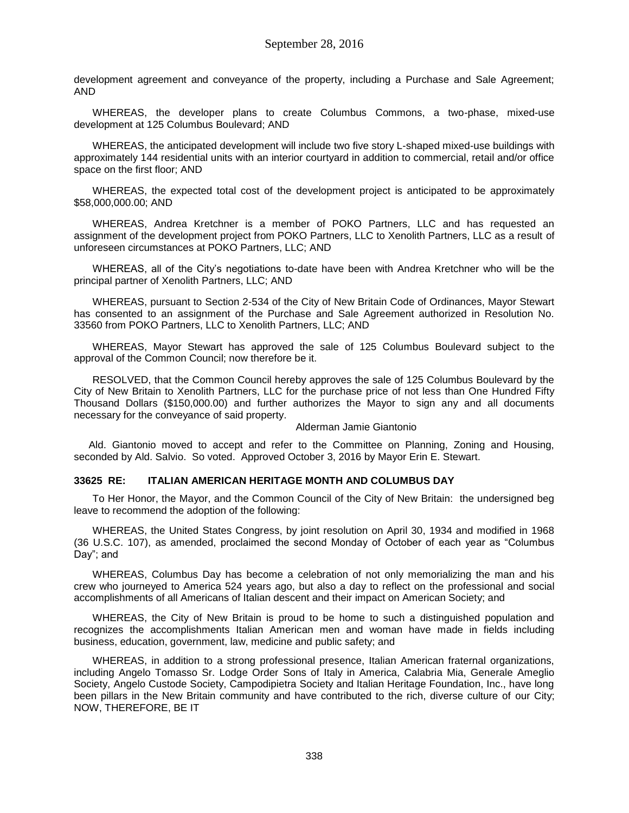development agreement and conveyance of the property, including a Purchase and Sale Agreement; AND

WHEREAS, the developer plans to create Columbus Commons, a two-phase, mixed-use development at 125 Columbus Boulevard; AND

WHEREAS, the anticipated development will include two five story L-shaped mixed-use buildings with approximately 144 residential units with an interior courtyard in addition to commercial, retail and/or office space on the first floor; AND

WHEREAS, the expected total cost of the development project is anticipated to be approximately \$58,000,000.00; AND

WHEREAS, Andrea Kretchner is a member of POKO Partners, LLC and has requested an assignment of the development project from POKO Partners, LLC to Xenolith Partners, LLC as a result of unforeseen circumstances at POKO Partners, LLC; AND

WHEREAS, all of the City's negotiations to-date have been with Andrea Kretchner who will be the principal partner of Xenolith Partners, LLC; AND

WHEREAS, pursuant to Section 2-534 of the City of New Britain Code of Ordinances, Mayor Stewart has consented to an assignment of the Purchase and Sale Agreement authorized in Resolution No. 33560 from POKO Partners, LLC to Xenolith Partners, LLC; AND

WHEREAS, Mayor Stewart has approved the sale of 125 Columbus Boulevard subject to the approval of the Common Council; now therefore be it.

RESOLVED, that the Common Council hereby approves the sale of 125 Columbus Boulevard by the City of New Britain to Xenolith Partners, LLC for the purchase price of not less than One Hundred Fifty Thousand Dollars (\$150,000.00) and further authorizes the Mayor to sign any and all documents necessary for the conveyance of said property.

#### Alderman Jamie Giantonio

Ald. Giantonio moved to accept and refer to the Committee on Planning, Zoning and Housing, seconded by Ald. Salvio. So voted. Approved October 3, 2016 by Mayor Erin E. Stewart.

#### **33625 RE: ITALIAN AMERICAN HERITAGE MONTH AND COLUMBUS DAY**

To Her Honor, the Mayor, and the Common Council of the City of New Britain: the undersigned beg leave to recommend the adoption of the following:

WHEREAS, the United States Congress, by joint resolution on April 30, 1934 and modified in 1968 (36 U.S.C. 107), as amended, proclaimed the second Monday of October of each year as "Columbus Day"; and

WHEREAS, Columbus Day has become a celebration of not only memorializing the man and his crew who journeyed to America 524 years ago, but also a day to reflect on the professional and social accomplishments of all Americans of Italian descent and their impact on American Society; and

WHEREAS, the City of New Britain is proud to be home to such a distinguished population and recognizes the accomplishments Italian American men and woman have made in fields including business, education, government, law, medicine and public safety; and

WHEREAS, in addition to a strong professional presence, Italian American fraternal organizations, including Angelo Tomasso Sr. Lodge Order Sons of Italy in America, Calabria Mia, Generale Ameglio Society, Angelo Custode Society, Campodipietra Society and Italian Heritage Foundation, Inc., have long been pillars in the New Britain community and have contributed to the rich, diverse culture of our City; NOW, THEREFORE, BE IT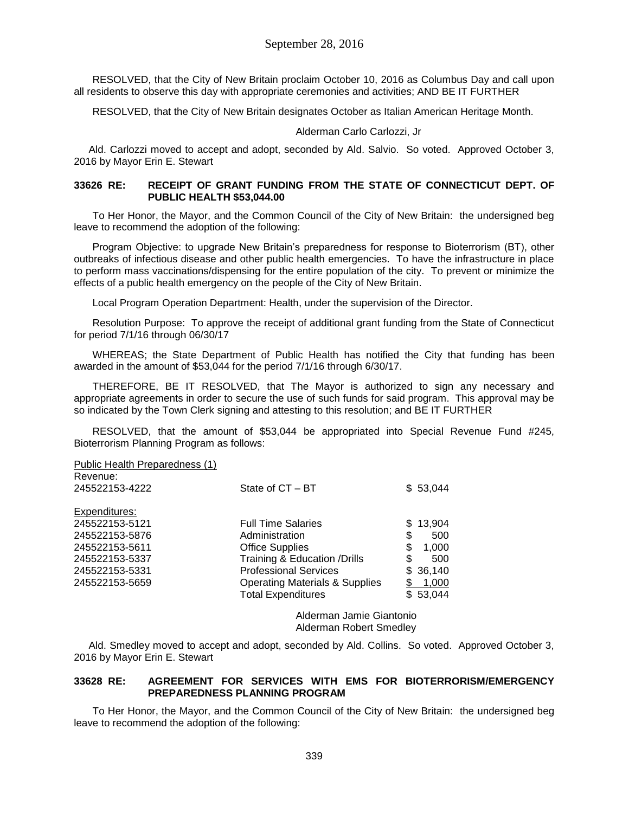RESOLVED, that the City of New Britain proclaim October 10, 2016 as Columbus Day and call upon all residents to observe this day with appropriate ceremonies and activities; AND BE IT FURTHER

RESOLVED, that the City of New Britain designates October as Italian American Heritage Month.

Alderman Carlo Carlozzi, Jr

Ald. Carlozzi moved to accept and adopt, seconded by Ald. Salvio. So voted. Approved October 3, 2016 by Mayor Erin E. Stewart

#### **33626 RE: RECEIPT OF GRANT FUNDING FROM THE STATE OF CONNECTICUT DEPT. OF PUBLIC HEALTH \$53,044.00**

To Her Honor, the Mayor, and the Common Council of the City of New Britain: the undersigned beg leave to recommend the adoption of the following:

Program Objective: to upgrade New Britain's preparedness for response to Bioterrorism (BT), other outbreaks of infectious disease and other public health emergencies. To have the infrastructure in place to perform mass vaccinations/dispensing for the entire population of the city. To prevent or minimize the effects of a public health emergency on the people of the City of New Britain.

Local Program Operation Department: Health, under the supervision of the Director.

Resolution Purpose: To approve the receipt of additional grant funding from the State of Connecticut for period 7/1/16 through 06/30/17

WHEREAS; the State Department of Public Health has notified the City that funding has been awarded in the amount of \$53,044 for the period 7/1/16 through 6/30/17.

THEREFORE, BE IT RESOLVED, that The Mayor is authorized to sign any necessary and appropriate agreements in order to secure the use of such funds for said program. This approval may be so indicated by the Town Clerk signing and attesting to this resolution; and BE IT FURTHER

RESOLVED, that the amount of \$53,044 be appropriated into Special Revenue Fund #245, Bioterrorism Planning Program as follows:

Public Health Preparedness (1) Revenue:

| NEVELIUE.<br>245522153-4222 | State of CT - BT                                                       | \$53,044          |
|-----------------------------|------------------------------------------------------------------------|-------------------|
| Expenditures:               |                                                                        |                   |
| 245522153-5121              | <b>Full Time Salaries</b>                                              | \$13,904          |
| 245522153-5876              | Administration                                                         | S<br>500          |
| 245522153-5611              | <b>Office Supplies</b>                                                 | \$<br>1,000       |
| 245522153-5337              | Training & Education / Drills                                          | \$<br>500         |
| 245522153-5331              | <b>Professional Services</b>                                           | \$36,140          |
| 245522153-5659              | <b>Operating Materials &amp; Supplies</b><br><b>Total Expenditures</b> | 1,000<br>\$53,044 |
|                             |                                                                        |                   |

Alderman Jamie Giantonio Alderman Robert Smedley

Ald. Smedley moved to accept and adopt, seconded by Ald. Collins. So voted. Approved October 3, 2016 by Mayor Erin E. Stewart

#### **33628 RE: AGREEMENT FOR SERVICES WITH EMS FOR BIOTERRORISM/EMERGENCY PREPAREDNESS PLANNING PROGRAM**

To Her Honor, the Mayor, and the Common Council of the City of New Britain: the undersigned beg leave to recommend the adoption of the following: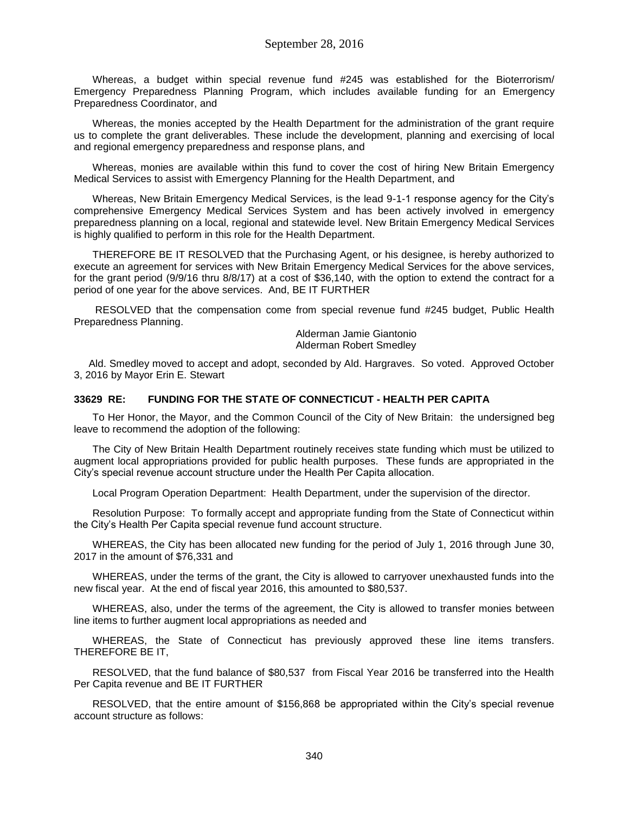Whereas, a budget within special revenue fund #245 was established for the Bioterrorism/ Emergency Preparedness Planning Program, which includes available funding for an Emergency Preparedness Coordinator, and

Whereas, the monies accepted by the Health Department for the administration of the grant require us to complete the grant deliverables. These include the development, planning and exercising of local and regional emergency preparedness and response plans, and

Whereas, monies are available within this fund to cover the cost of hiring New Britain Emergency Medical Services to assist with Emergency Planning for the Health Department, and

Whereas, New Britain Emergency Medical Services, is the lead 9-1-1 response agency for the City's comprehensive Emergency Medical Services System and has been actively involved in emergency preparedness planning on a local, regional and statewide level. New Britain Emergency Medical Services is highly qualified to perform in this role for the Health Department.

THEREFORE BE IT RESOLVED that the Purchasing Agent, or his designee, is hereby authorized to execute an agreement for services with New Britain Emergency Medical Services for the above services, for the grant period (9/9/16 thru 8/8/17) at a cost of \$36,140, with the option to extend the contract for a period of one year for the above services. And, BE IT FURTHER

RESOLVED that the compensation come from special revenue fund #245 budget, Public Health Preparedness Planning.

> Alderman Jamie Giantonio Alderman Robert Smedley

Ald. Smedley moved to accept and adopt, seconded by Ald. Hargraves. So voted. Approved October 3, 2016 by Mayor Erin E. Stewart

#### **33629 RE: FUNDING FOR THE STATE OF CONNECTICUT - HEALTH PER CAPITA**

To Her Honor, the Mayor, and the Common Council of the City of New Britain: the undersigned beg leave to recommend the adoption of the following:

The City of New Britain Health Department routinely receives state funding which must be utilized to augment local appropriations provided for public health purposes. These funds are appropriated in the City's special revenue account structure under the Health Per Capita allocation.

Local Program Operation Department: Health Department, under the supervision of the director.

Resolution Purpose: To formally accept and appropriate funding from the State of Connecticut within the City's Health Per Capita special revenue fund account structure.

WHEREAS, the City has been allocated new funding for the period of July 1, 2016 through June 30, 2017 in the amount of \$76,331 and

WHEREAS, under the terms of the grant, the City is allowed to carryover unexhausted funds into the new fiscal year. At the end of fiscal year 2016, this amounted to \$80,537.

WHEREAS, also, under the terms of the agreement, the City is allowed to transfer monies between line items to further augment local appropriations as needed and

WHEREAS, the State of Connecticut has previously approved these line items transfers. THEREFORE BE IT,

RESOLVED, that the fund balance of \$80,537 from Fiscal Year 2016 be transferred into the Health Per Capita revenue and BE IT FURTHER

RESOLVED, that the entire amount of \$156,868 be appropriated within the City's special revenue account structure as follows: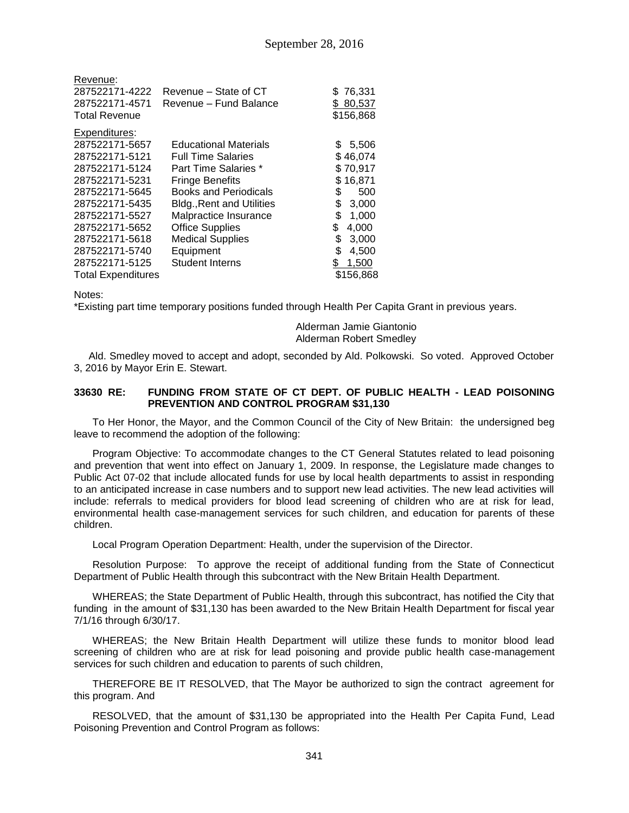| Revenue:<br>287522171-4222<br>287522171-4571<br><b>Total Revenue</b> | Revenue – State of CT<br>Revenue - Fund Balance | \$76,331<br>\$80,537<br>\$156,868 |
|----------------------------------------------------------------------|-------------------------------------------------|-----------------------------------|
| Expenditures:                                                        |                                                 |                                   |
| 287522171-5657                                                       | <b>Educational Materials</b>                    | 5,506<br>S                        |
| 287522171-5121                                                       | <b>Full Time Salaries</b>                       | \$46,074                          |
| 287522171-5124                                                       | Part Time Salaries *                            | \$70,917                          |
| 287522171-5231                                                       | <b>Fringe Benefits</b>                          | \$16,871                          |
| 287522171-5645                                                       | <b>Books and Periodicals</b>                    | \$<br>500                         |
| 287522171-5435                                                       | <b>Bldg., Rent and Utilities</b>                | \$<br>3,000                       |
| 287522171-5527                                                       | Malpractice Insurance                           | \$<br>1,000                       |
| 287522171-5652                                                       | <b>Office Supplies</b>                          | \$<br>4,000                       |
| 287522171-5618                                                       | <b>Medical Supplies</b>                         | \$<br>3,000                       |
| 287522171-5740                                                       | Equipment                                       | \$<br>4,500                       |
| 287522171-5125                                                       | <b>Student Interns</b>                          | \$<br>1,500                       |
| <b>Total Expenditures</b>                                            |                                                 | \$156,868                         |

Notes:

\*Existing part time temporary positions funded through Health Per Capita Grant in previous years.

Alderman Jamie Giantonio Alderman Robert Smedley

Ald. Smedley moved to accept and adopt, seconded by Ald. Polkowski. So voted. Approved October 3, 2016 by Mayor Erin E. Stewart.

#### **33630 RE: FUNDING FROM STATE OF CT DEPT. OF PUBLIC HEALTH - LEAD POISONING PREVENTION AND CONTROL PROGRAM \$31,130**

To Her Honor, the Mayor, and the Common Council of the City of New Britain: the undersigned beg leave to recommend the adoption of the following:

Program Objective: To accommodate changes to the CT General Statutes related to lead poisoning and prevention that went into effect on January 1, 2009. In response, the Legislature made changes to Public Act 07-02 that include allocated funds for use by local health departments to assist in responding to an anticipated increase in case numbers and to support new lead activities. The new lead activities will include: referrals to medical providers for blood lead screening of children who are at risk for lead, environmental health case-management services for such children, and education for parents of these children.

Local Program Operation Department: Health, under the supervision of the Director.

Resolution Purpose: To approve the receipt of additional funding from the State of Connecticut Department of Public Health through this subcontract with the New Britain Health Department.

WHEREAS; the State Department of Public Health, through this subcontract, has notified the City that funding in the amount of \$31,130 has been awarded to the New Britain Health Department for fiscal year 7/1/16 through 6/30/17.

WHEREAS; the New Britain Health Department will utilize these funds to monitor blood lead screening of children who are at risk for lead poisoning and provide public health case-management services for such children and education to parents of such children,

THEREFORE BE IT RESOLVED, that The Mayor be authorized to sign the contract agreement for this program. And

RESOLVED, that the amount of \$31,130 be appropriated into the Health Per Capita Fund, Lead Poisoning Prevention and Control Program as follows: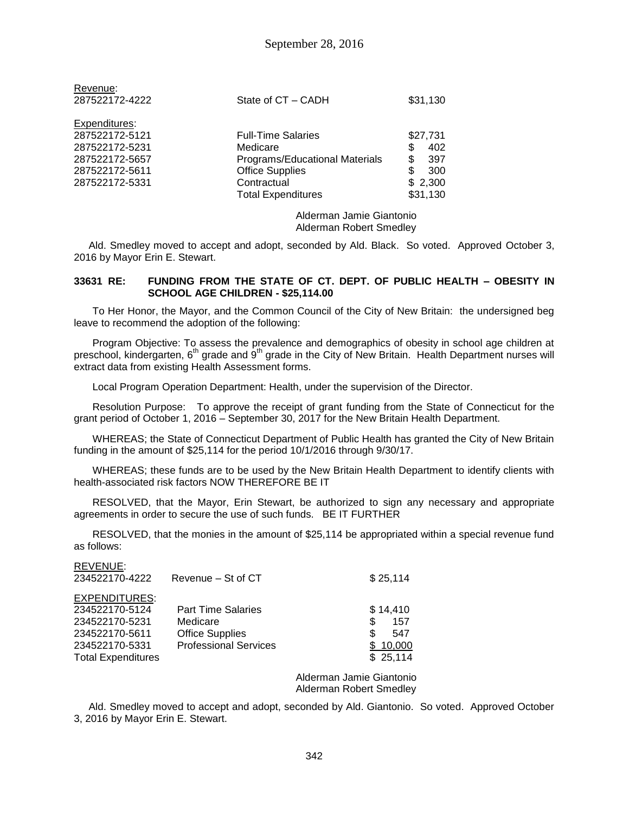| Revenue:<br>287522172-4222 | State of CT - CADH             | \$31,130  |
|----------------------------|--------------------------------|-----------|
| Expenditures:              |                                |           |
| 287522172-5121             | <b>Full-Time Salaries</b>      | \$27,731  |
| 287522172-5231             | Medicare                       | \$<br>402 |
| 287522172-5657             | Programs/Educational Materials | \$<br>397 |
| 287522172-5611             | <b>Office Supplies</b>         | \$<br>300 |
| 287522172-5331             | Contractual                    | \$2,300   |
|                            | <b>Total Expenditures</b>      | \$31,130  |
|                            |                                |           |

Alderman Jamie Giantonio Alderman Robert Smedley

Ald. Smedley moved to accept and adopt, seconded by Ald. Black. So voted. Approved October 3, 2016 by Mayor Erin E. Stewart.

#### **33631 RE: FUNDING FROM THE STATE OF CT. DEPT. OF PUBLIC HEALTH – OBESITY IN SCHOOL AGE CHILDREN - \$25,114.00**

To Her Honor, the Mayor, and the Common Council of the City of New Britain: the undersigned beg leave to recommend the adoption of the following:

Program Objective: To assess the prevalence and demographics of obesity in school age children at preschool, kindergarten, 6<sup>th</sup> grade and 9<sup>th</sup> grade in the City of New Britain. Health Department nurses will extract data from existing Health Assessment forms.

Local Program Operation Department: Health, under the supervision of the Director.

Resolution Purpose: To approve the receipt of grant funding from the State of Connecticut for the grant period of October 1, 2016 – September 30, 2017 for the New Britain Health Department.

WHEREAS; the State of Connecticut Department of Public Health has granted the City of New Britain funding in the amount of \$25,114 for the period 10/1/2016 through 9/30/17.

WHEREAS; these funds are to be used by the New Britain Health Department to identify clients with health-associated risk factors NOW THEREFORE BE IT

RESOLVED, that the Mayor, Erin Stewart, be authorized to sign any necessary and appropriate agreements in order to secure the use of such funds. BE IT FURTHER

RESOLVED, that the monies in the amount of \$25,114 be appropriated within a special revenue fund as follows:

| REVENUE:                  |                              |           |
|---------------------------|------------------------------|-----------|
| 234522170-4222            | Revenue - St of CT           | \$25,114  |
| <b>EXPENDITURES:</b>      |                              |           |
| 234522170-5124            | <b>Part Time Salaries</b>    | \$14,410  |
| 234522170-5231            | Medicare                     | \$<br>157 |
| 234522170-5611            | <b>Office Supplies</b>       | \$<br>547 |
| 234522170-5331            | <b>Professional Services</b> | 10,000    |
| <b>Total Expenditures</b> |                              | \$25,114  |

Alderman Jamie Giantonio Alderman Robert Smedley

Ald. Smedley moved to accept and adopt, seconded by Ald. Giantonio. So voted. Approved October 3, 2016 by Mayor Erin E. Stewart.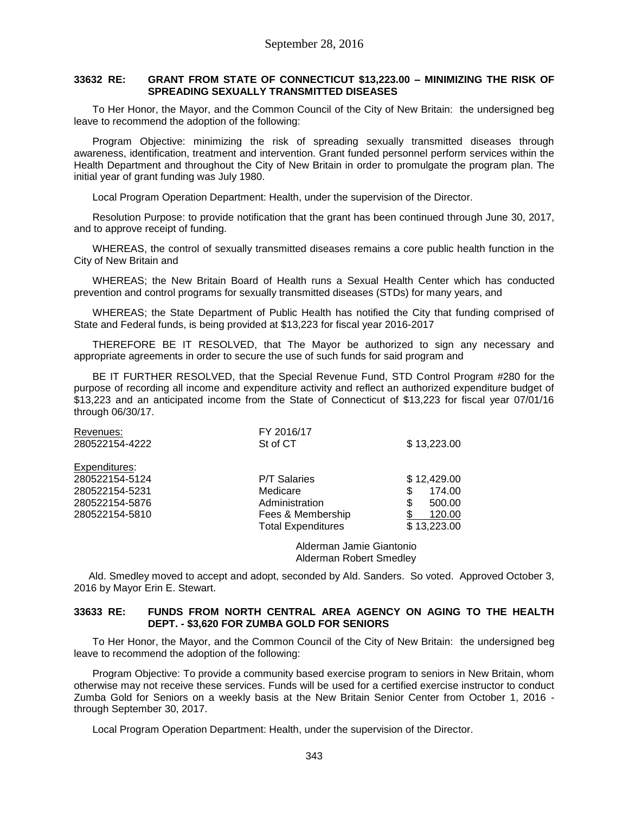#### **33632 RE: GRANT FROM STATE OF CONNECTICUT \$13,223.00 – MINIMIZING THE RISK OF SPREADING SEXUALLY TRANSMITTED DISEASES**

To Her Honor, the Mayor, and the Common Council of the City of New Britain: the undersigned beg leave to recommend the adoption of the following:

Program Objective: minimizing the risk of spreading sexually transmitted diseases through awareness, identification, treatment and intervention. Grant funded personnel perform services within the Health Department and throughout the City of New Britain in order to promulgate the program plan. The initial year of grant funding was July 1980.

Local Program Operation Department: Health, under the supervision of the Director.

Resolution Purpose: to provide notification that the grant has been continued through June 30, 2017, and to approve receipt of funding.

WHEREAS, the control of sexually transmitted diseases remains a core public health function in the City of New Britain and

WHEREAS; the New Britain Board of Health runs a Sexual Health Center which has conducted prevention and control programs for sexually transmitted diseases (STDs) for many years, and

WHEREAS; the State Department of Public Health has notified the City that funding comprised of State and Federal funds, is being provided at \$13,223 for fiscal year 2016-2017

THEREFORE BE IT RESOLVED, that The Mayor be authorized to sign any necessary and appropriate agreements in order to secure the use of such funds for said program and

BE IT FURTHER RESOLVED, that the Special Revenue Fund, STD Control Program #280 for the purpose of recording all income and expenditure activity and reflect an authorized expenditure budget of \$13,223 and an anticipated income from the State of Connecticut of \$13,223 for fiscal year 07/01/16 through 06/30/17.

| Revenues:      | FY 2016/17                |              |
|----------------|---------------------------|--------------|
| 280522154-4222 | St of CT                  | \$13,223.00  |
| Expenditures:  |                           |              |
| 280522154-5124 | <b>P/T Salaries</b>       | \$12,429.00  |
| 280522154-5231 | Medicare                  | S<br>174.00  |
| 280522154-5876 | Administration            | \$<br>500.00 |
| 280522154-5810 | Fees & Membership         | 120.00       |
|                | <b>Total Expenditures</b> | \$13,223.00  |
|                |                           |              |

Alderman Jamie Giantonio Alderman Robert Smedley

Ald. Smedley moved to accept and adopt, seconded by Ald. Sanders. So voted. Approved October 3, 2016 by Mayor Erin E. Stewart.

#### **33633 RE: FUNDS FROM NORTH CENTRAL AREA AGENCY ON AGING TO THE HEALTH DEPT. - \$3,620 FOR ZUMBA GOLD FOR SENIORS**

To Her Honor, the Mayor, and the Common Council of the City of New Britain: the undersigned beg leave to recommend the adoption of the following:

Program Objective: To provide a community based exercise program to seniors in New Britain, whom otherwise may not receive these services. Funds will be used for a certified exercise instructor to conduct Zumba Gold for Seniors on a weekly basis at the New Britain Senior Center from October 1, 2016 through September 30, 2017.

Local Program Operation Department: Health, under the supervision of the Director.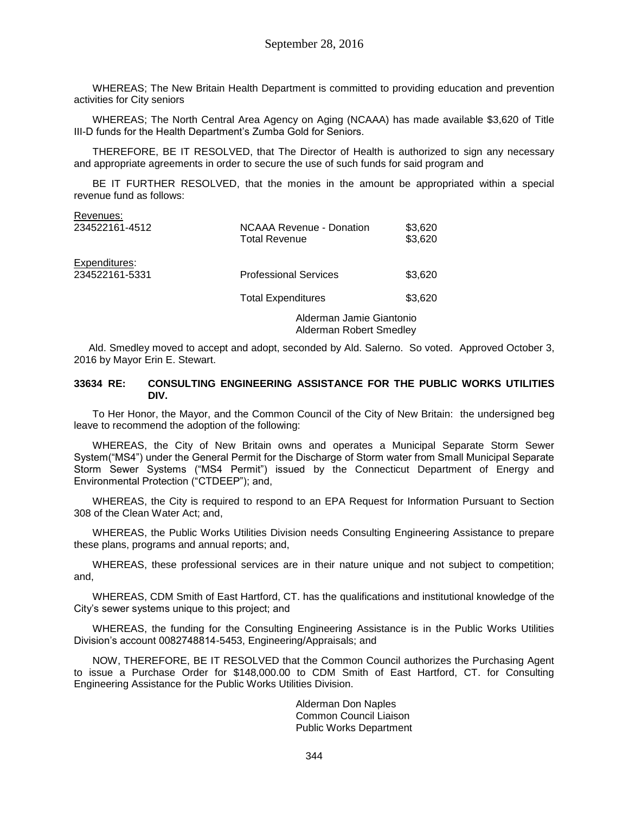WHEREAS; The New Britain Health Department is committed to providing education and prevention activities for City seniors

WHEREAS; The North Central Area Agency on Aging (NCAAA) has made available \$3,620 of Title III-D funds for the Health Department's Zumba Gold for Seniors.

THEREFORE, BE IT RESOLVED, that The Director of Health is authorized to sign any necessary and appropriate agreements in order to secure the use of such funds for said program and

BE IT FURTHER RESOLVED, that the monies in the amount be appropriated within a special revenue fund as follows:

| Revenues:      |                                           |                    |
|----------------|-------------------------------------------|--------------------|
| 234522161-4512 | NCAAA Revenue - Donation<br>Total Revenue | \$3,620<br>\$3,620 |
| Expenditures:  |                                           |                    |
| 234522161-5331 | <b>Professional Services</b>              | \$3,620            |
|                | <b>Total Expenditures</b>                 | \$3,620            |
|                | Alderman Jamie Giantonio                  |                    |

Alderman Robert Smedley

Ald. Smedley moved to accept and adopt, seconded by Ald. Salerno. So voted. Approved October 3, 2016 by Mayor Erin E. Stewart.

#### **33634 RE: CONSULTING ENGINEERING ASSISTANCE FOR THE PUBLIC WORKS UTILITIES DIV.**

To Her Honor, the Mayor, and the Common Council of the City of New Britain: the undersigned beg leave to recommend the adoption of the following:

WHEREAS, the City of New Britain owns and operates a Municipal Separate Storm Sewer System("MS4") under the General Permit for the Discharge of Storm water from Small Municipal Separate Storm Sewer Systems ("MS4 Permit") issued by the Connecticut Department of Energy and Environmental Protection ("CTDEEP"); and,

WHEREAS, the City is required to respond to an EPA Request for Information Pursuant to Section 308 of the Clean Water Act; and,

WHEREAS, the Public Works Utilities Division needs Consulting Engineering Assistance to prepare these plans, programs and annual reports; and,

WHEREAS, these professional services are in their nature unique and not subject to competition; and,

WHEREAS, CDM Smith of East Hartford, CT. has the qualifications and institutional knowledge of the City's sewer systems unique to this project; and

WHEREAS, the funding for the Consulting Engineering Assistance is in the Public Works Utilities Division's account 0082748814-5453, Engineering/Appraisals; and

NOW, THEREFORE, BE IT RESOLVED that the Common Council authorizes the Purchasing Agent to issue a Purchase Order for \$148,000.00 to CDM Smith of East Hartford, CT. for Consulting Engineering Assistance for the Public Works Utilities Division.

> Alderman Don Naples Common Council Liaison Public Works Department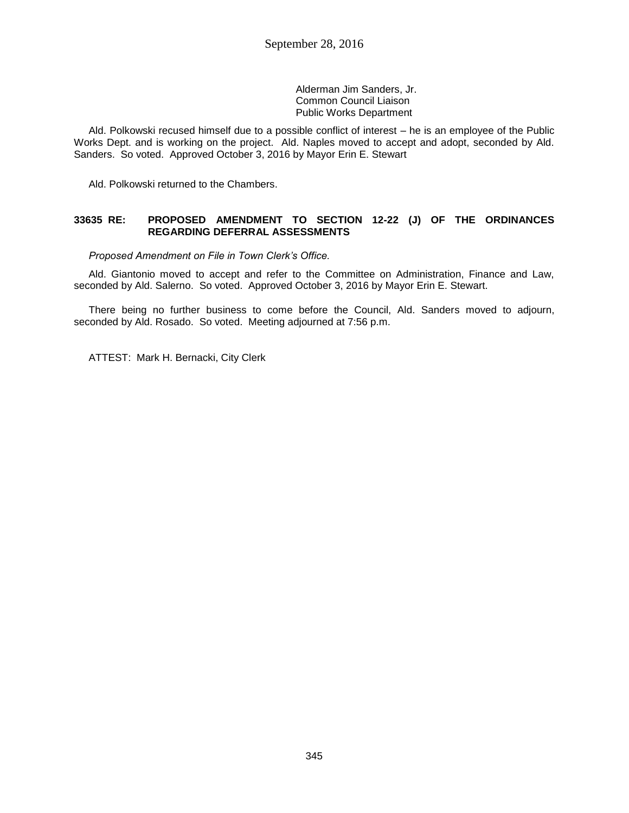Alderman Jim Sanders, Jr. Common Council Liaison Public Works Department

Ald. Polkowski recused himself due to a possible conflict of interest – he is an employee of the Public Works Dept. and is working on the project. Ald. Naples moved to accept and adopt, seconded by Ald. Sanders. So voted. Approved October 3, 2016 by Mayor Erin E. Stewart

Ald. Polkowski returned to the Chambers.

#### **33635 RE: PROPOSED AMENDMENT TO SECTION 12-22 (J) OF THE ORDINANCES REGARDING DEFERRAL ASSESSMENTS**

*Proposed Amendment on File in Town Clerk's Office.*

Ald. Giantonio moved to accept and refer to the Committee on Administration, Finance and Law, seconded by Ald. Salerno. So voted. Approved October 3, 2016 by Mayor Erin E. Stewart.

There being no further business to come before the Council, Ald. Sanders moved to adjourn, seconded by Ald. Rosado. So voted. Meeting adjourned at 7:56 p.m.

ATTEST: Mark H. Bernacki, City Clerk